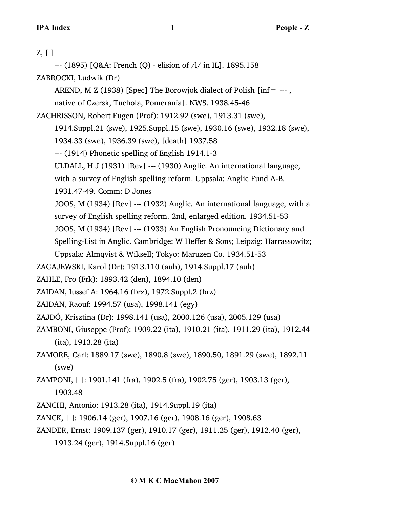| $Z, [$ ]                                                                       |
|--------------------------------------------------------------------------------|
| --- (1895) [Q&A: French (Q) - elision of $/1/$ in IL]. 1895.158                |
| ZABROCKI, Ludwik (Dr)                                                          |
| AREND, M Z (1938) [Spec] The Borowjok dialect of Polish [inf = $-$ --,         |
| native of Czersk, Tuchola, Pomerania]. NWS. 1938.45-46                         |
| ZACHRISSON, Robert Eugen (Prof): 1912.92 (swe), 1913.31 (swe),                 |
| 1914.Suppl.21 (swe), 1925.Suppl.15 (swe), 1930.16 (swe), 1932.18 (swe),        |
| 1934.33 (swe), 1936.39 (swe), [death] 1937.58                                  |
| --- (1914) Phonetic spelling of English 1914.1-3                               |
| ULDALL, H J (1931) [Rev] --- (1930) Anglic. An international language,         |
| with a survey of English spelling reform. Uppsala: Anglic Fund A-B.            |
| 1931.47-49. Comm: D Jones                                                      |
| JOOS, M (1934) [Rev] --- (1932) Anglic. An international language, with a      |
| survey of English spelling reform. 2nd, enlarged edition. 1934.51-53           |
| JOOS, M (1934) [Rev] --- (1933) An English Pronouncing Dictionary and          |
| Spelling-List in Anglic. Cambridge: W Heffer & Sons; Leipzig: Harrassowitz;    |
| Uppsala: Almqvist & Wiksell; Tokyo: Maruzen Co. 1934.51-53                     |
| ZAGAJEWSKI, Karol (Dr): 1913.110 (auh), 1914.Suppl.17 (auh)                    |
| ZAHLE, Fro (Frk): 1893.42 (den), 1894.10 (den)                                 |
| ZAIDAN, Iussef A: 1964.16 (brz), 1972.Suppl.2 (brz)                            |
| ZAIDAN, Raouf: 1994.57 (usa), 1998.141 (egy)                                   |
| ZAJDÓ, Krisztina (Dr): 1998.141 (usa), 2000.126 (usa), 2005.129 (usa)          |
| ZAMBONI, Giuseppe (Prof): 1909.22 (ita), 1910.21 (ita), 1911.29 (ita), 1912.44 |
| (ita), 1913.28 (ita)                                                           |
| ZAMORE, Carl: 1889.17 (swe), 1890.8 (swe), 1890.50, 1891.29 (swe), 1892.11     |
| (swe)                                                                          |
| ZAMPONI, []: 1901.141 (fra), 1902.5 (fra), 1902.75 (ger), 1903.13 (ger),       |
| 1903.48                                                                        |
| ZANCHI, Antonio: 1913.28 (ita), 1914. Suppl. 19 (ita)                          |
| ZANCK, []: 1906.14 (ger), 1907.16 (ger), 1908.16 (ger), 1908.63                |
| ZANDER, Ernst: 1909.137 (ger), 1910.17 (ger), 1911.25 (ger), 1912.40 (ger),    |

1913.24 (ger), 1914.Suppl.16 (ger)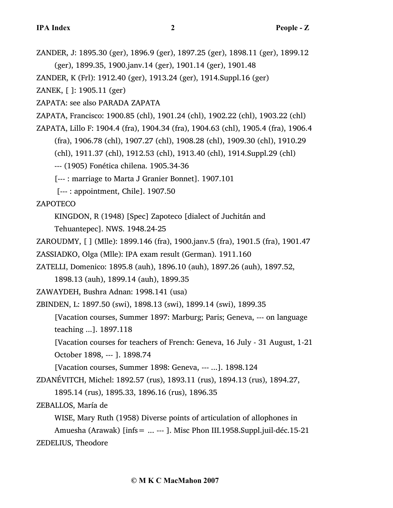ZANDER, J: 1895.30 (ger), 1896.9 (ger), 1897.25 (ger), 1898.11 (ger), 1899.12 (ger), 1899.35, 1900.janv.14 (ger), 1901.14 (ger), 1901.48 ZANDER, K (Frl): 1912.40 (ger), 1913.24 (ger), 1914.Suppl.16 (ger)

ZANEK, [ ]: 1905.11 (ger)

ZAPATA: see also PARADA ZAPATA

ZAPATA, Francisco: 1900.85 (chl), 1901.24 (chl), 1902.22 (chl), 1903.22 (chl)

ZAPATA, Lillo F: 1904.4 (fra), 1904.34 (fra), 1904.63 (chl), 1905.4 (fra), 1906.4

(fra), 1906.78 (chl), 1907.27 (chl), 1908.28 (chl), 1909.30 (chl), 1910.29

(chl), 1911.37 (chl), 1912.53 (chl), 1913.40 (chl), 1914.Suppl.29 (chl)

--- (1905) Fonética chilena. 1905.34-36

[--- : marriage to Marta J Granier Bonnet]. 1907.101

[--- : appointment, Chile]. 1907.50

ZAPOTECO

KINGDON, R (1948) [Spec] Zapoteco [dialect of Juchitán and

Tehuantepec]. NWS. 1948.24-25

ZAROUDMY, [ ] (Mlle): 1899.146 (fra), 1900.janv.5 (fra), 1901.5 (fra), 1901.47

ZASSIADKO, Olga (Mlle): IPA exam result (German). 1911.160

ZATELLI, Domenico: 1895.8 (auh), 1896.10 (auh), 1897.26 (auh), 1897.52, 1898.13 (auh), 1899.14 (auh), 1899.35

ZAWAYDEH, Bushra Adnan: 1998.141 (usa)

ZBINDEN, L: 1897.50 (swi), 1898.13 (swi), 1899.14 (swi), 1899.35

[Vacation courses, Summer 1897: Marburg; Paris; Geneva, --- on language teaching ...]. 1897.118

[Vacation courses for teachers of French: Geneva, 16 July - 31 August, 1-21 October 1898, --- ]. 1898.74

[Vacation courses, Summer 1898: Geneva, --- ...]. 1898.124

ZDANÉVITCH, Michel: 1892.57 (rus), 1893.11 (rus), 1894.13 (rus), 1894.27,

1895.14 (rus), 1895.33, 1896.16 (rus), 1896.35

ZEBALLOS, María de

WISE, Mary Ruth (1958) Diverse points of articulation of allophones in

Amuesha (Arawak) [infs= ... --- ]. Misc Phon III.1958.Suppl.juil-déc.15-21 ZEDELIUS, Theodore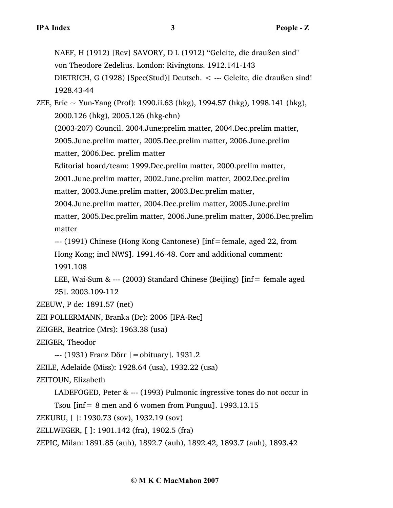NAEF, H (1912) [Rev] SAVORY, D L (1912) "Geleite, die draußen sind" von Theodore Zedelius. London: Rivingtons. 1912.141-143 DIETRICH, G (1928) [Spec(Stud)] Deutsch. < --- Geleite, die draußen sind! 1928.43-44

ZEE, Eric  $\sim$  Yun-Yang (Prof): 1990.ii.63 (hkg), 1994.57 (hkg), 1998.141 (hkg), 2000.126 (hkg), 2005.126 (hkg-chn) (2003-207) Council. 2004.June:prelim matter, 2004.Dec.prelim matter, 2005.June.prelim matter, 2005.Dec.prelim matter, 2006.June.prelim matter, 2006.Dec. prelim matter Editorial board/team: 1999.Dec.prelim matter, 2000.prelim matter, 2001.June.prelim matter, 2002.June.prelim matter, 2002.Dec.prelim matter, 2003.June.prelim matter, 2003.Dec.prelim matter, 2004.June.prelim matter, 2004.Dec.prelim matter, 2005.June.prelim matter, 2005.Dec.prelim matter, 2006.June.prelim matter, 2006.Dec.prelim matter

--- (1991) Chinese (Hong Kong Cantonese) [inf=female, aged 22, from Hong Kong; incl NWS]. 1991.46-48. Corr and additional comment: 1991.108

LEE, Wai-Sum & --- (2003) Standard Chinese (Beijing)  $\int$  [inf= female aged 25]. 2003.109-112

ZEEUW, P de: 1891.57 (net)

ZEI POLLERMANN, Branka (Dr): 2006 [IPA-Rec]

ZEIGER, Beatrice (Mrs): 1963.38 (usa)

ZEIGER, Theodor

--- (1931) Franz Dörr [=obituary]. 1931.2

ZEILE, Adelaide (Miss): 1928.64 (usa), 1932.22 (usa)

ZEITOUN, Elizabeth

LADEFOGED, Peter & --- (1993) Pulmonic ingressive tones do not occur in

Tsou [inf= 8 men and 6 women from Punguu]. 1993.13.15

ZEKUBU, [ ]: 1930.73 (sov), 1932.19 (sov)

ZELLWEGER, [ ]: 1901.142 (fra), 1902.5 (fra)

ZEPIC, Milan: 1891.85 (auh), 1892.7 (auh), 1892.42, 1893.7 (auh), 1893.42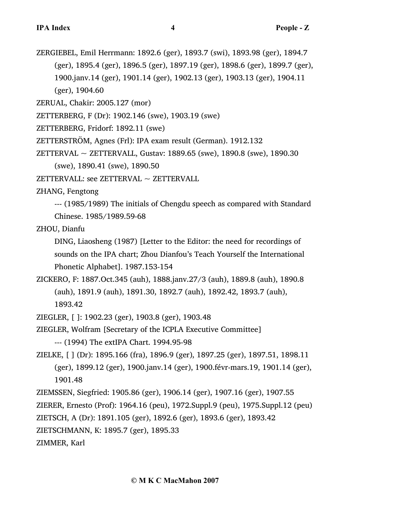ZERGIEBEL, Emil Herrmann: 1892.6 (ger), 1893.7 (swi), 1893.98 (ger), 1894.7 (ger), 1895.4 (ger), 1896.5 (ger), 1897.19 (ger), 1898.6 (ger), 1899.7 (ger), 1900.janv.14 (ger), 1901.14 (ger), 1902.13 (ger), 1903.13 (ger), 1904.11 (ger), 1904.60

ZERUAL, Chakir: 2005.127 (mor)

- ZETTERBERG, F (Dr): 1902.146 (swe), 1903.19 (swe)
- ZETTERBERG, Fridorf: 1892.11 (swe)
- ZETTERSTRÖM, Agnes (Frl): IPA exam result (German). 1912.132
- ZETTERVAL ~ ZETTERVALL, Gustav: 1889.65 (swe), 1890.8 (swe), 1890.30 (swe), 1890.41 (swe), 1890.50
- ZETTERVALL: see ZETTERVAL  $\sim$  ZETTERVALL

ZHANG, Fengtong

--- (1985/1989) The initials of Chengdu speech as compared with Standard Chinese. 1985/1989.59-68

ZHOU, Dianfu

DING, Liaosheng (1987) [Letter to the Editor: the need for recordings of sounds on the IPA chart; Zhou Dianfou's Teach Yourself the International Phonetic Alphabet]. 1987.153-154

ZICKERO, F: 1887.Oct.345 (auh), 1888.janv.27/3 (auh), 1889.8 (auh), 1890.8 (auh), 1891.9 (auh), 1891.30, 1892.7 (auh), 1892.42, 1893.7 (auh), 1893.42

ZIEGLER, [ ]: 1902.23 (ger), 1903.8 (ger), 1903.48

ZIEGLER, Wolfram [Secretary of the ICPLA Executive Committee]

--- (1994) The extIPA Chart. 1994.95-98

- ZIELKE, [ ] (Dr): 1895.166 (fra), 1896.9 (ger), 1897.25 (ger), 1897.51, 1898.11 (ger), 1899.12 (ger), 1900.janv.14 (ger), 1900.févr-mars.19, 1901.14 (ger), 1901.48
- ZIEMSSEN, Siegfried: 1905.86 (ger), 1906.14 (ger), 1907.16 (ger), 1907.55

ZIERER, Ernesto (Prof): 1964.16 (peu), 1972.Suppl.9 (peu), 1975.Suppl.12 (peu)

ZIETSCH, A (Dr): 1891.105 (ger), 1892.6 (ger), 1893.6 (ger), 1893.42

ZIETSCHMANN, K: 1895.7 (ger), 1895.33

ZIMMER, Karl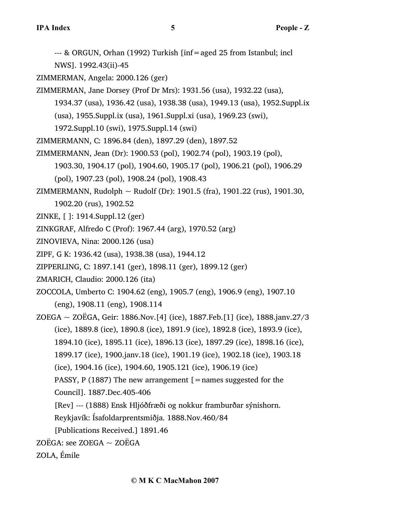- --- & ORGUN, Orhan (1992) Turkish [inf=aged 25 from Istanbul; incl
- NWS]. 1992.43(ii)-45
- ZIMMERMAN, Angela: 2000.126 (ger)
- ZIMMERMAN, Jane Dorsey (Prof Dr Mrs): 1931.56 (usa), 1932.22 (usa),
	- 1934.37 (usa), 1936.42 (usa), 1938.38 (usa), 1949.13 (usa), 1952.Suppl.ix
		- (usa), 1955.Suppl.ix (usa), 1961.Suppl.xi (usa), 1969.23 (swi),
	- 1972.Suppl.10 (swi), 1975.Suppl.14 (swi)
- ZIMMERMANN, C: 1896.84 (den), 1897.29 (den), 1897.52
- ZIMMERMANN, Jean (Dr): 1900.53 (pol), 1902.74 (pol), 1903.19 (pol), 1903.30, 1904.17 (pol), 1904.60, 1905.17 (pol), 1906.21 (pol), 1906.29
	- (pol), 1907.23 (pol), 1908.24 (pol), 1908.43
- ZIMMERMANN, Rudolph  $\sim$  Rudolf (Dr): 1901.5 (fra), 1901.22 (rus), 1901.30, 1902.20 (rus), 1902.52
- ZINKE, [ ]: 1914.Suppl.12 (ger)
- ZINKGRAF, Alfredo C (Prof): 1967.44 (arg), 1970.52 (arg)
- ZINOVIEVA, Nina: 2000.126 (usa)
- ZIPF, G K: 1936.42 (usa), 1938.38 (usa), 1944.12
- ZIPPERLING, C: 1897.141 (ger), 1898.11 (ger), 1899.12 (ger)
- ZMARICH, Claudio: 2000.126 (ita)
- ZOCCOLA, Umberto C: 1904.62 (eng), 1905.7 (eng), 1906.9 (eng), 1907.10 (eng), 1908.11 (eng), 1908.114
- ZOEGA ~ ZOËGA, Geir: 1886. Nov. [4] (ice), 1887. Feb. [1] (ice), 1888. janv.  $27/3$ (ice), 1889.8 (ice), 1890.8 (ice), 1891.9 (ice), 1892.8 (ice), 1893.9 (ice), 1894.10 (ice), 1895.11 (ice), 1896.13 (ice), 1897.29 (ice), 1898.16 (ice), 1899.17 (ice), 1900.janv.18 (ice), 1901.19 (ice), 1902.18 (ice), 1903.18 (ice), 1904.16 (ice), 1904.60, 1905.121 (ice), 1906.19 (ice) PASSY, P (1887) The new arrangement  $[$  = names suggested for the Council]. 1887.Dec.405-406 [Rev] --- (1888) Ensk Hljóðfræði og nokkur framburðar sýnishorn. Reykjavík: Ísafoldarprentsmiðja. 1888.Nov.460/84
	-
	- [Publications Received.] 1891.46
- $ZO$ ËGA: see ZOEGA  $\sim$  ZOËGA
- ZOLA, Émile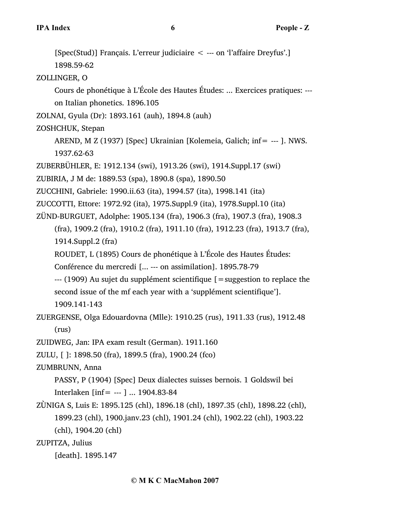[Spec(Stud)] Français. L'erreur judiciaire < --- on 'l'affaire Dreyfus'.] 1898.59-62 ZOLLINGER, O Cours de phonétique à L'École des Hautes Études: ... Exercices pratiques: -- on Italian phonetics. 1896.105 ZOLNAI, Gyula (Dr): 1893.161 (auh), 1894.8 (auh) ZOSHCHUK, Stepan AREND, M Z (1937) [Spec] Ukrainian [Kolemeia, Galich; inf= --- ]. NWS. 1937.62-63 ZUBERBÜHLER, E: 1912.134 (swi), 1913.26 (swi), 1914.Suppl.17 (swi) ZUBIRIA, J M de: 1889.53 (spa), 1890.8 (spa), 1890.50 ZUCCHINI, Gabriele: 1990.ii.63 (ita), 1994.57 (ita), 1998.141 (ita) ZUCCOTTI, Ettore: 1972.92 (ita), 1975.Suppl.9 (ita), 1978.Suppl.10 (ita) ZÜND-BURGUET, Adolphe: 1905.134 (fra), 1906.3 (fra), 1907.3 (fra), 1908.3 (fra), 1909.2 (fra), 1910.2 (fra), 1911.10 (fra), 1912.23 (fra), 1913.7 (fra), 1914.Suppl.2 (fra) ROUDET, L (1895) Cours de phonétique à L'École des Hautes Études: Conférence du mercredi [... --- on assimilation]. 1895.78-79  $-$ --- (1909) Au sujet du supplément scientifique  $\mathfrak{g}$  = suggestion to replace the second issue of the mf each year with a 'supplément scientifique']. 1909.141-143 ZUERGENSE, Olga Edouardovna (Mlle): 1910.25 (rus), 1911.33 (rus), 1912.48 (rus) ZUIDWEG, Jan: IPA exam result (German). 1911.160 ZULU, [ ]: 1898.50 (fra), 1899.5 (fra), 1900.24 (fco) ZUMBRUNN, Anna PASSY, P (1904) [Spec] Deux dialectes suisses bernois. 1 Goldswil bei Interlaken [inf= --- ] ... 1904.83-84 ZÙNIGA S, Luis E: 1895.125 (chl), 1896.18 (chl), 1897.35 (chl), 1898.22 (chl), 1899.23 (chl), 1900.janv.23 (chl), 1901.24 (chl), 1902.22 (chl), 1903.22 (chl), 1904.20 (chl) ZUPITZA, Julius

[death]. 1895.147